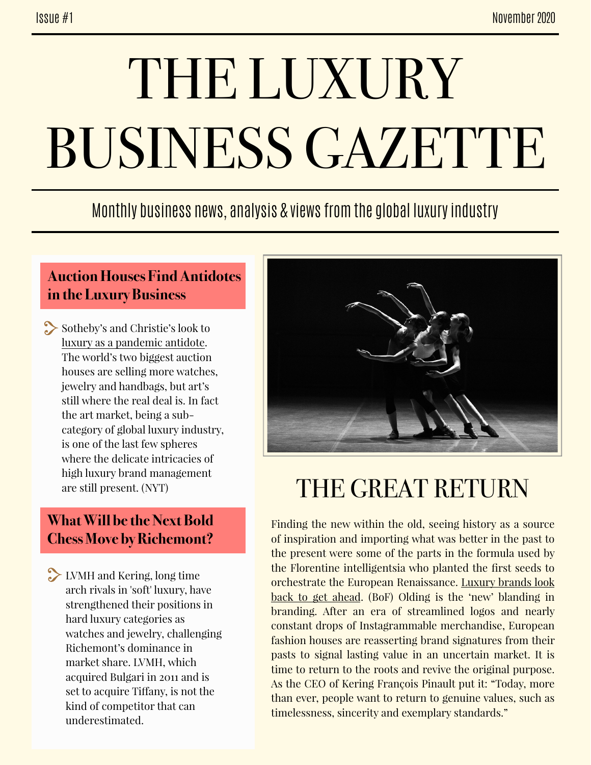# THE LUXURY BUSINESS GAZETTE

### Monthly business news, analysis & views from the global luxury industry

#### **Auction Houses Find Antidotes in the Luxury Business**

Sotheby's and Christie's look to [luxury as a pandemic antidote](https://www-nytimes-com.cdn.ampproject.org/c/s/www.nytimes.com/2020/11/27/arts/design/auction-houses-luxury-sothebys-christies.amp.html). The world's two biggest auction houses are selling more watches, jewelry and handbags, but art's still where the real deal is. In fact the art market, being a subcategory of global luxury industry, is one of the last few spheres where the delicate intricacies of high luxury brand management are still present. (NYT)

#### **What Will be the Next Bold Chess Move by Richemont?**

LVMH and Kering, long time arch rivals in 'soft' luxury, have strengthened their positions in hard luxury categories as watches and jewelry, challenging Richemont's dominance in market share. LVMH, which acquired Bulgari in 2011 and is set to acquire Tifany, is not the kind of competitor that can underestimated.



## THE GREAT RETURN

Finding the new within the old, seeing history as a source of inspiration and importing what was better in the past to the present were some of the parts in the formula used by the Florentine intelligentsia who planted the first seeds to [orchestrate the European Renaissance. Luxury brands look](https://www.businessoffashion.com/articles/luxury/olding-luxury-fashion-branding-valentino-gucci-givenchy) back to get ahead. (BoF) Olding is the 'new' blanding in branding. After an era of streamlined logos and nearly constant drops of Instagrammable merchandise, European fashion houses are reasserting brand signatures from their pasts to signal lasting value in an uncertain market. It is time to return to the roots and revive the original purpose. As the CEO of Kering François Pinault put it: "Today, more than ever, people want to return to genuine values, such as timelessness, sincerity and exemplary standards."